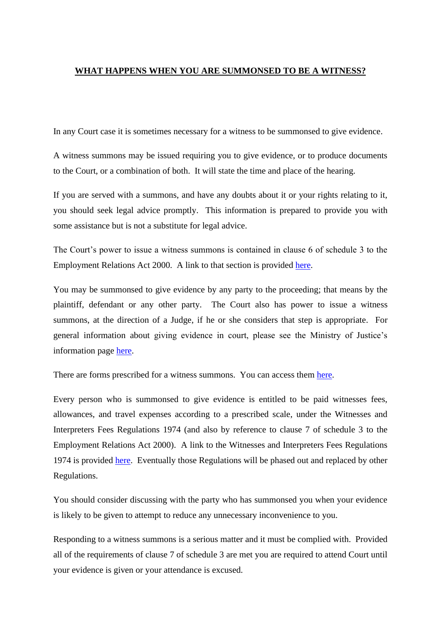## **WHAT HAPPENS WHEN YOU ARE SUMMONSED TO BE A WITNESS?**

In any Court case it is sometimes necessary for a witness to be summonsed to give evidence.

A witness summons may be issued requiring you to give evidence, or to produce documents to the Court, or a combination of both. It will state the time and place of the hearing.

If you are served with a summons, and have any doubts about it or your rights relating to it, you should seek legal advice promptly. This information is prepared to provide you with some assistance but is not a substitute for legal advice.

The Court's power to issue a witness summons is contained in clause 6 of schedule 3 to the Employment Relations Act 2000. A link to that section is provided [here.](http://www.legislation.govt.nz/act/public/2000/0024/latest/DLM61794.html)

You may be summonsed to give evidence by any party to the proceeding; that means by the plaintiff, defendant or any other party. The Court also has power to issue a witness summons, at the direction of a Judge, if he or she considers that step is appropriate. For general information about giving evidence in court, please see the Ministry of Justice's information page [here.](https://www.justice.govt.nz/courts/going-to-court/what-to-expect-at-court/be-a-witness-at-court/)

There are forms prescribed for a witness summons. You can access them [here.](http://www.legislation.govt.nz/regulation/public/2000/0250/latest/whole.html#DLM2034868)

Every person who is summonsed to give evidence is entitled to be paid witnesses fees, allowances, and travel expenses according to a prescribed scale, under the Witnesses and Interpreters Fees Regulations 1974 (and also by reference to clause 7 of schedule 3 to the Employment Relations Act 2000). A link to the Witnesses and Interpreters Fees Regulations 1974 is provided [here.](http://www.legislation.govt.nz/regulation/public/1974/0124/latest/DLM42089.html) Eventually those Regulations will be phased out and replaced by other Regulations.

You should consider discussing with the party who has summonsed you when your evidence is likely to be given to attempt to reduce any unnecessary inconvenience to you.

Responding to a witness summons is a serious matter and it must be complied with. Provided all of the requirements of clause 7 of schedule 3 are met you are required to attend Court until your evidence is given or your attendance is excused.